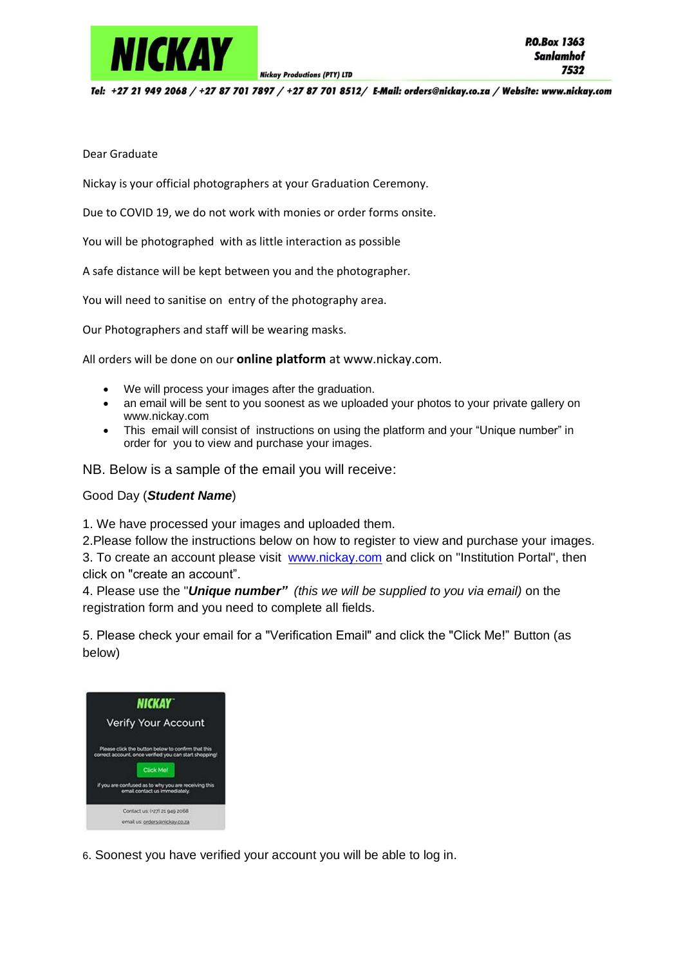

Tel: +27 21 949 2068 / +27 87 701 7897 / +27 87 701 8512/ E-Mail: orders@nickay.co.za / Website: www.nickay.com

**Nickay Productions (PTY) LTD** 

## Dear Graduate

Nickay is your official photographers at your Graduation Ceremony.

Due to COVID 19, we do not work with monies or order forms onsite.

You will be photographed with as little interaction as possible

A safe distance will be kept between you and the photographer.

You will need to sanitise on entry of the photography area.

Our Photographers and staff will be wearing masks.

All orders will be done on our **online platform** at www.nickay.com.

- We will process your images after the graduation.
- an email will be sent to you soonest as we uploaded your photos to your private gallery on www.nickay.com
- This email will consist of instructions on using the platform and your "Unique number" in order for you to view and purchase your images.

NB. Below is a sample of the email you will receive:

## Good Day (*Student Name*)

1. We have processed your images and uploaded them.

2.Please follow the instructions below on how to register to view and purchase your images.

3. To create an account please visit [www.nickay.com](http://www.nickay.com/) and click on "Institution Portal", then click on "create an account".

4. Please use the "*Unique number" (this we will be supplied to you via email)* on the registration form and you need to complete all fields.

5. Please check your email for a "Verification Email" and click the "Click Me!" Button (as below)



6. Soonest you have verified your account you will be able to log in.